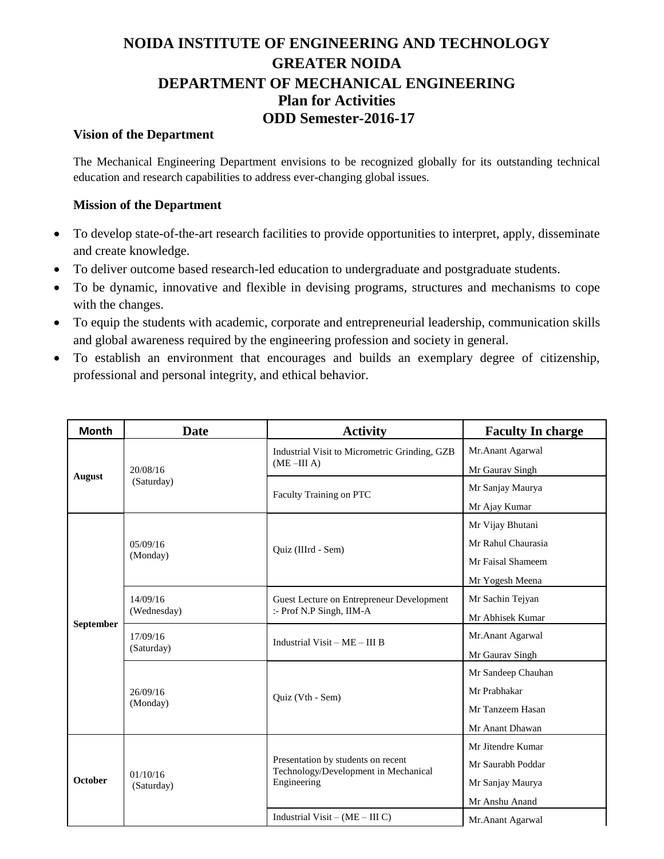## **NOIDA INSTITUTE OF ENGINEERING AND TECHNOLOGY GREATER NOIDA DEPARTMENT OF MECHANICAL ENGINEERING Plan for Activities ODD Semester-2016-17**

## **Vision of the Department**

The Mechanical Engineering Department envisions to be recognized globally for its outstanding technical education and research capabilities to address ever-changing global issues.

## **Mission of the Department**

- To develop state-of-the-art research facilities to provide opportunities to interpret, apply, disseminate and create knowledge.
- To deliver outcome based research-led education to undergraduate and postgraduate students.
- To be dynamic, innovative and flexible in devising programs, structures and mechanisms to cope with the changes.
- To equip the students with academic, corporate and entrepreneurial leadership, communication skills and global awareness required by the engineering profession and society in general.
- To establish an environment that encourages and builds an exemplary degree of citizenship, professional and personal integrity, and ethical behavior.

| <b>Month</b>   | <b>Date</b>             | <b>Activity</b>                                                                           | <b>Faculty In charge</b> |
|----------------|-------------------------|-------------------------------------------------------------------------------------------|--------------------------|
| August         | 20/08/16<br>(Saturday)  | Industrial Visit to Micrometric Grinding, GZB<br>$(ME - III A)$                           | Mr.Anant Agarwal         |
|                |                         |                                                                                           | Mr Gaurav Singh          |
|                |                         | Faculty Training on PTC                                                                   | Mr Sanjay Maurya         |
|                |                         |                                                                                           | Mr Ajay Kumar            |
| September      | 05/09/16<br>(Monday)    | Quiz (IIIrd - Sem)                                                                        | Mr Vijay Bhutani         |
|                |                         |                                                                                           | Mr Rahul Chaurasia       |
|                |                         |                                                                                           | Mr Faisal Shameem        |
|                |                         |                                                                                           | Mr Yogesh Meena          |
|                | 14/09/16<br>(Wednesday) | Guest Lecture on Entrepreneur Development<br>:- Prof N.P Singh, IIM-A                     | Mr Sachin Tejyan         |
|                |                         |                                                                                           | Mr Abhisek Kumar         |
|                | 17/09/16<br>(Saturday)  | Industrial Visit $-ME - III$ B                                                            | Mr.Anant Agarwal         |
|                |                         |                                                                                           | Mr Gaurav Singh          |
|                | 26/09/16<br>(Monday)    | Quiz (Vth - Sem)                                                                          | Mr Sandeep Chauhan       |
|                |                         |                                                                                           | Mr Prabhakar             |
|                |                         |                                                                                           | Mr Tanzeem Hasan         |
|                |                         |                                                                                           | Mr Anant Dhawan          |
| <b>October</b> | 01/10/16<br>(Saturday)  | Presentation by students on recent<br>Technology/Development in Mechanical<br>Engineering | Mr Jitendre Kumar        |
|                |                         |                                                                                           | Mr Saurabh Poddar        |
|                |                         |                                                                                           | Mr Sanjay Maurya         |
|                |                         |                                                                                           | Mr Anshu Anand           |
|                |                         | Industrial Visit – $(ME – III C)$                                                         | Mr.Anant Agarwal         |